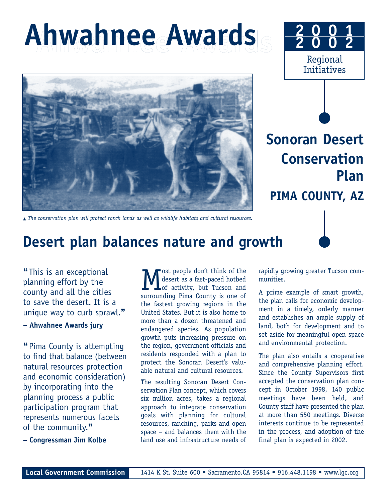# **Ahwahnee Awards Ahwahnee Awards**





Regional Initiatives

**2 0 0 1 2 0 0 2**

▲ *The conservation plan will protect ranch lands as well as wildlife habitats and cultural resources.* 

## **Desert plan balances nature and growth**

❝This is an exceptional planning effort by the county and all the cities to save the desert. It is a unique way to curb sprawl.<sup>99</sup>

#### **– Ahwahnee Awards jury**

"Pima County is attempting to find that balance (between natural resources protection and economic consideration) by incorporating into the planning process a public participation program that represents numerous facets of the community.<sup>99</sup>

**– Congressman Jim Kolbe**

**M** ost people don't think of the desert as a fast-paced hotbed of activity, but Tucson and surrounding Pima County is one of ost people don't think of the desert as a fast-paced hotbed of activity, but Tucson and the fastest growing regions in the United States. But it is also home to more than a dozen threatened and endangered species. As population growth puts increasing pressure on the region, government officials and residents responded with a plan to protect the Sonoran Desert's valuable natural and cultural resources.

The resulting Sonoran Desert Conservation Plan concept, which covers six million acres, takes a regional approach to integrate conservation goals with planning for cultural resources, ranching, parks and open space – and balances them with the land use and infrastructure needs of

rapidly growing greater Tucson communities.

A prime example of smart growth, the plan calls for economic development in a timely, orderly manner and establishes an ample supply of land, both for development and to set aside for meaningful open space and environmental protection.

The plan also entails a cooperative and comprehensive planning effort. Since the County Supervisors first accepted the conservation plan concept in October 1998, 140 public meetings have been held, and County staff have presented the plan at more than 550 meetings. Diverse interests continue to be represented in the process, and adoption of the final plan is expected in 2002.